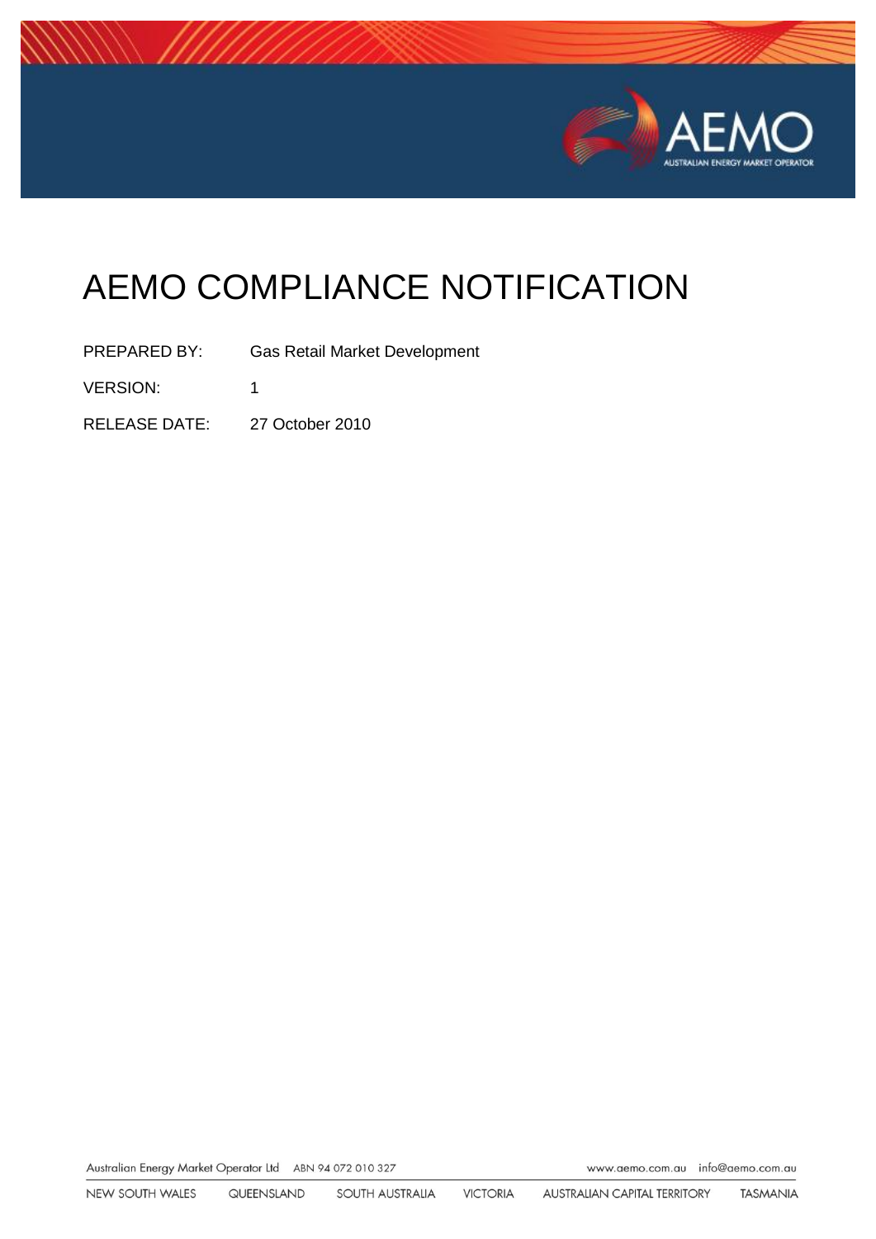

# AEMO COMPLIANCE NOTIFICATION

PREPARED BY: Gas Retail Market Development VERSION: 1 RELEASE DATE: 27 October 2010

Australian Energy Market Operator Ltd ABN 94 072 010 327

www.aemo.com.au info@aemo.com.au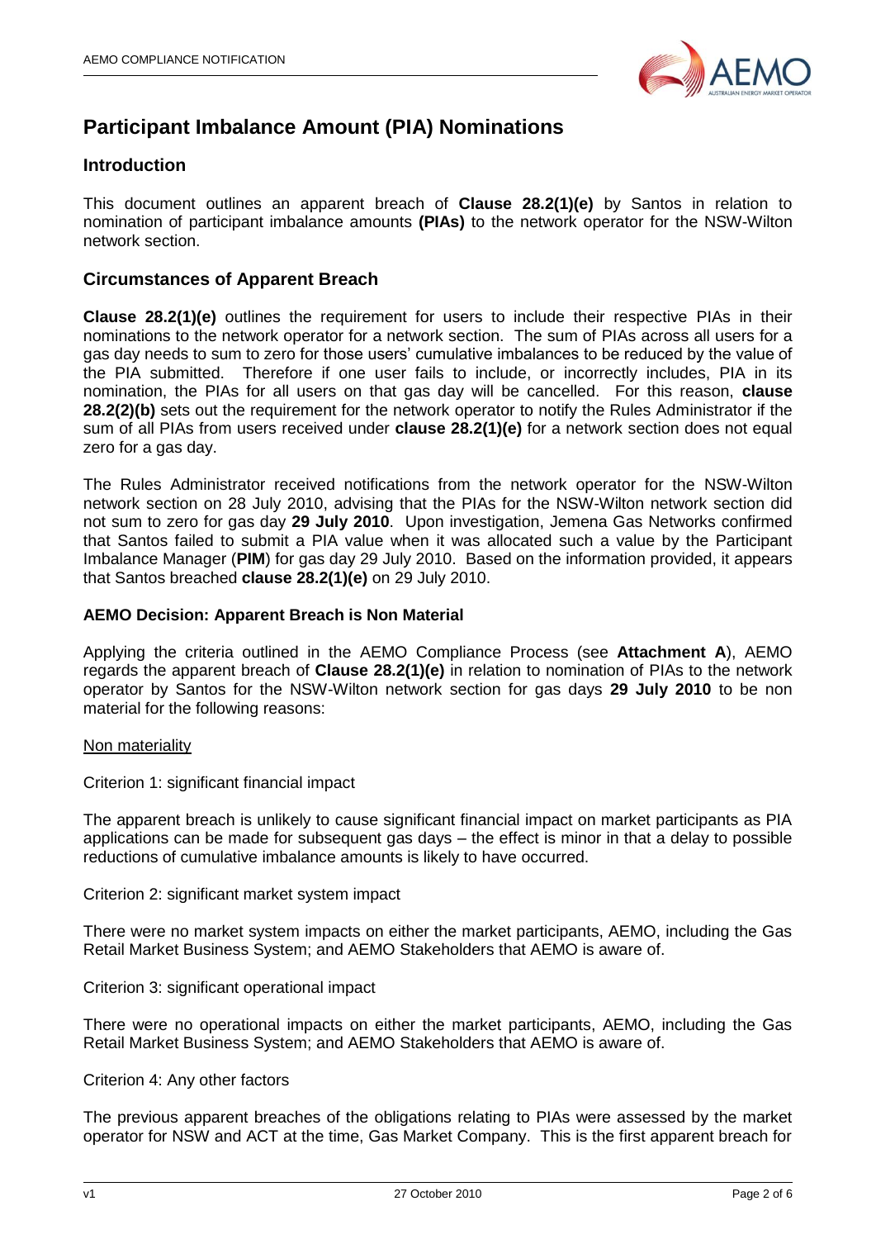

# **Participant Imbalance Amount (PIA) Nominations**

### **Introduction**

This document outlines an apparent breach of **Clause 28.2(1)(e)** by Santos in relation to nomination of participant imbalance amounts **(PIAs)** to the network operator for the NSW-Wilton network section.

### **Circumstances of Apparent Breach**

**Clause 28.2(1)(e)** outlines the requirement for users to include their respective PIAs in their nominations to the network operator for a network section. The sum of PIAs across all users for a gas day needs to sum to zero for those users' cumulative imbalances to be reduced by the value of the PIA submitted. Therefore if one user fails to include, or incorrectly includes, PIA in its nomination, the PIAs for all users on that gas day will be cancelled. For this reason, **clause 28.2(2)(b)** sets out the requirement for the network operator to notify the Rules Administrator if the sum of all PIAs from users received under **clause 28.2(1)(e)** for a network section does not equal zero for a gas day.

The Rules Administrator received notifications from the network operator for the NSW-Wilton network section on 28 July 2010, advising that the PIAs for the NSW-Wilton network section did not sum to zero for gas day **29 July 2010**. Upon investigation, Jemena Gas Networks confirmed that Santos failed to submit a PIA value when it was allocated such a value by the Participant Imbalance Manager (**PIM**) for gas day 29 July 2010. Based on the information provided, it appears that Santos breached **clause 28.2(1)(e)** on 29 July 2010.

### **AEMO Decision: Apparent Breach is Non Material**

Applying the criteria outlined in the AEMO Compliance Process (see **Attachment A**), AEMO regards the apparent breach of **Clause 28.2(1)(e)** in relation to nomination of PIAs to the network operator by Santos for the NSW-Wilton network section for gas days **29 July 2010** to be non material for the following reasons:

#### Non materiality

Criterion 1: significant financial impact

The apparent breach is unlikely to cause significant financial impact on market participants as PIA applications can be made for subsequent gas days – the effect is minor in that a delay to possible reductions of cumulative imbalance amounts is likely to have occurred.

Criterion 2: significant market system impact

There were no market system impacts on either the market participants, AEMO, including the Gas Retail Market Business System; and AEMO Stakeholders that AEMO is aware of.

Criterion 3: significant operational impact

There were no operational impacts on either the market participants, AEMO, including the Gas Retail Market Business System; and AEMO Stakeholders that AEMO is aware of.

#### Criterion 4: Any other factors

The previous apparent breaches of the obligations relating to PIAs were assessed by the market operator for NSW and ACT at the time, Gas Market Company. This is the first apparent breach for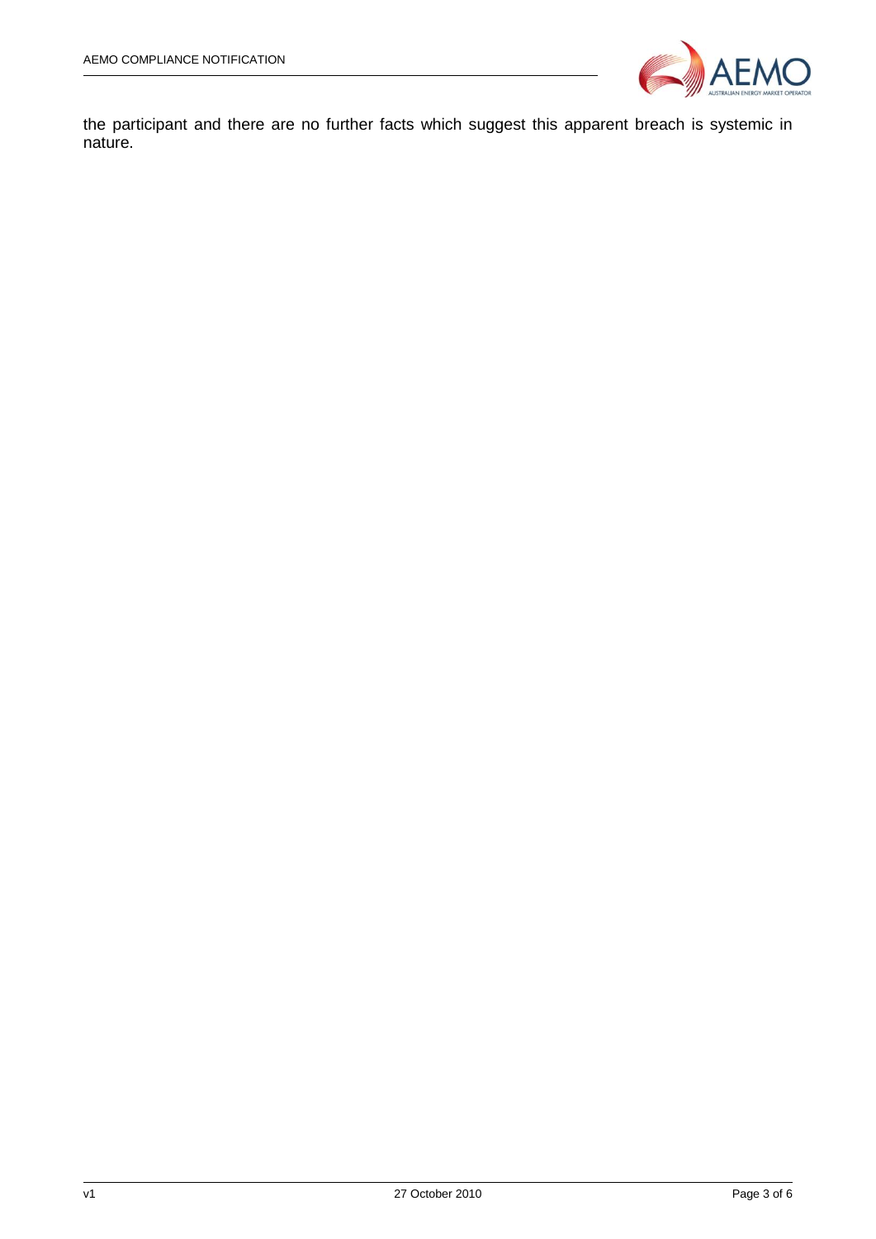

the participant and there are no further facts which suggest this apparent breach is systemic in nature.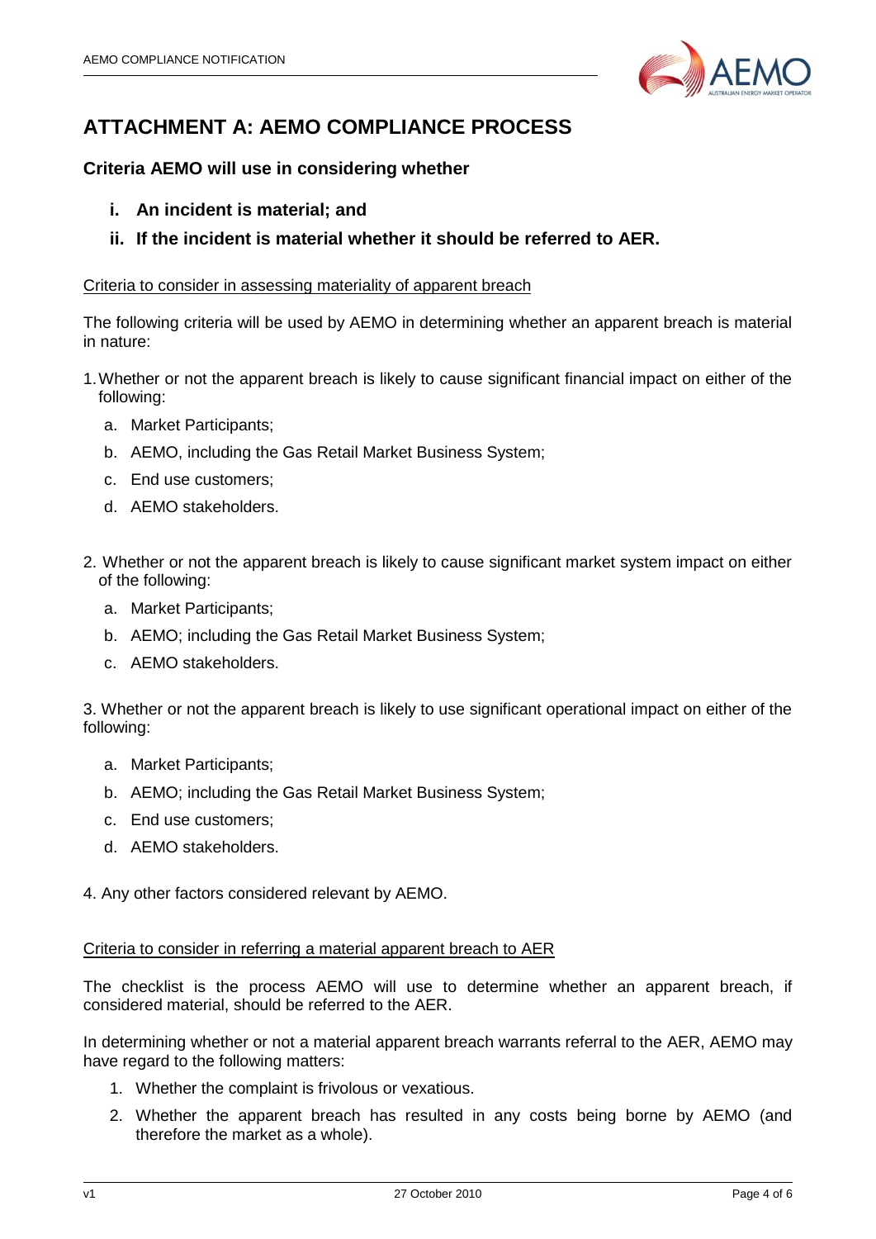

# **ATTACHMENT A: AEMO COMPLIANCE PROCESS**

## **Criteria AEMO will use in considering whether**

- **i. An incident is material; and**
- **ii. If the incident is material whether it should be referred to AER.**

### Criteria to consider in assessing materiality of apparent breach

The following criteria will be used by AEMO in determining whether an apparent breach is material in nature:

- 1.Whether or not the apparent breach is likely to cause significant financial impact on either of the following:
	- a. Market Participants;
	- b. AEMO, including the Gas Retail Market Business System;
	- c. End use customers;
	- d. AEMO stakeholders.
- 2. Whether or not the apparent breach is likely to cause significant market system impact on either of the following:
	- a. Market Participants;
	- b. AEMO; including the Gas Retail Market Business System;
	- c. AEMO stakeholders.

3. Whether or not the apparent breach is likely to use significant operational impact on either of the following:

- a. Market Participants;
- b. AEMO; including the Gas Retail Market Business System;
- c. End use customers;
- d. AEMO stakeholders.

4. Any other factors considered relevant by AEMO.

### Criteria to consider in referring a material apparent breach to AER

The checklist is the process AEMO will use to determine whether an apparent breach, if considered material, should be referred to the AER.

In determining whether or not a material apparent breach warrants referral to the AER, AEMO may have regard to the following matters:

- 1. Whether the complaint is frivolous or vexatious.
- 2. Whether the apparent breach has resulted in any costs being borne by AEMO (and therefore the market as a whole).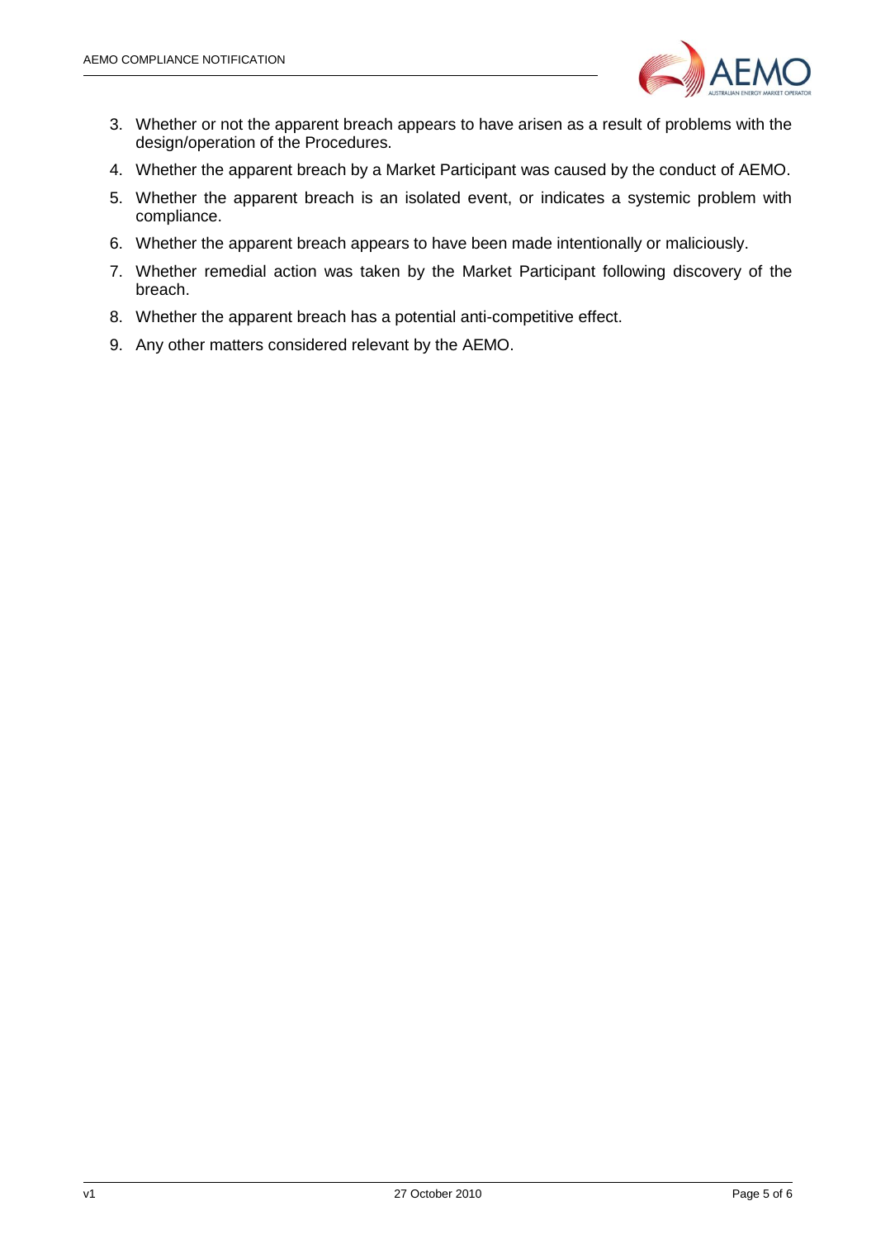

- 3. Whether or not the apparent breach appears to have arisen as a result of problems with the design/operation of the Procedures.
- 4. Whether the apparent breach by a Market Participant was caused by the conduct of AEMO.
- 5. Whether the apparent breach is an isolated event, or indicates a systemic problem with compliance.
- 6. Whether the apparent breach appears to have been made intentionally or maliciously.
- 7. Whether remedial action was taken by the Market Participant following discovery of the breach.
- 8. Whether the apparent breach has a potential anti-competitive effect.
- 9. Any other matters considered relevant by the AEMO.